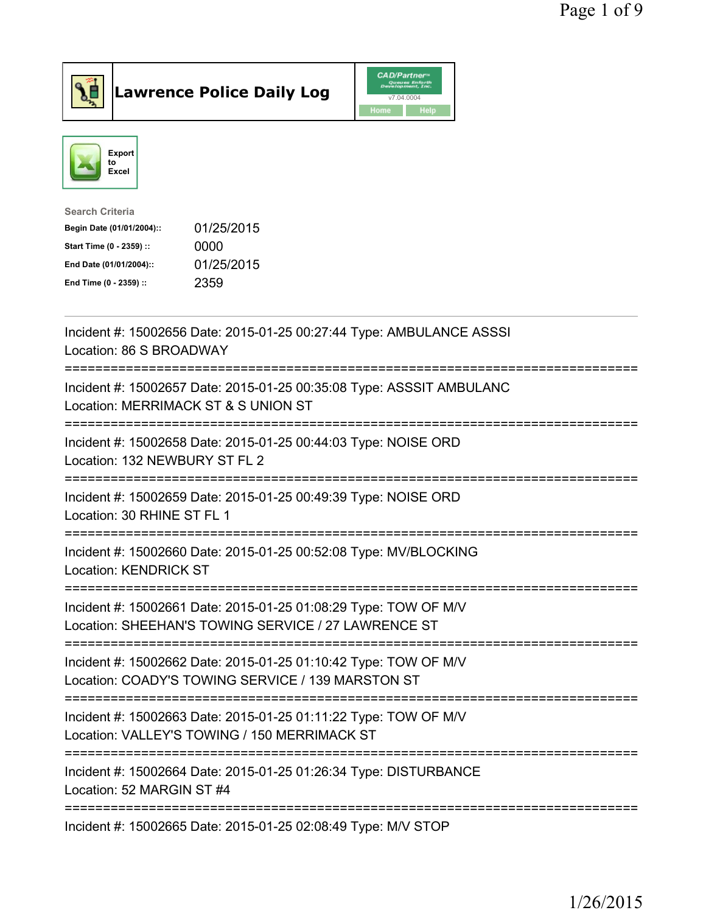



| <b>Search Criteria</b>    |            |
|---------------------------|------------|
| Begin Date (01/01/2004):: | 01/25/2015 |
| Start Time (0 - 2359) ::  | 0000       |
| End Date (01/01/2004)::   | 01/25/2015 |
| End Time (0 - 2359) ::    | 2359       |
|                           |            |

| Incident #: 15002656 Date: 2015-01-25 00:27:44 Type: AMBULANCE ASSSI<br>Location: 86 S BROADWAY<br>:===================<br>==================== |
|-------------------------------------------------------------------------------------------------------------------------------------------------|
| Incident #: 15002657 Date: 2015-01-25 00:35:08 Type: ASSSIT AMBULANC<br>Location: MERRIMACK ST & S UNION ST<br>======================           |
| Incident #: 15002658 Date: 2015-01-25 00:44:03 Type: NOISE ORD<br>Location: 132 NEWBURY ST FL 2                                                 |
| Incident #: 15002659 Date: 2015-01-25 00:49:39 Type: NOISE ORD<br>Location: 30 RHINE ST FL 1                                                    |
| Incident #: 15002660 Date: 2015-01-25 00:52:08 Type: MV/BLOCKING<br><b>Location: KENDRICK ST</b>                                                |
| Incident #: 15002661 Date: 2015-01-25 01:08:29 Type: TOW OF M/V<br>Location: SHEEHAN'S TOWING SERVICE / 27 LAWRENCE ST                          |
| Incident #: 15002662 Date: 2015-01-25 01:10:42 Type: TOW OF M/V<br>Location: COADY'S TOWING SERVICE / 139 MARSTON ST                            |
| -----------------------<br>Incident #: 15002663 Date: 2015-01-25 01:11:22 Type: TOW OF M/V<br>Location: VALLEY'S TOWING / 150 MERRIMACK ST      |
| --------------------------------------<br>Incident #: 15002664 Date: 2015-01-25 01:26:34 Type: DISTURBANCE<br>Location: 52 MARGIN ST #4         |
| Incident #: 15002665 Date: 2015-01-25 02:08:49 Type: M/V STOP                                                                                   |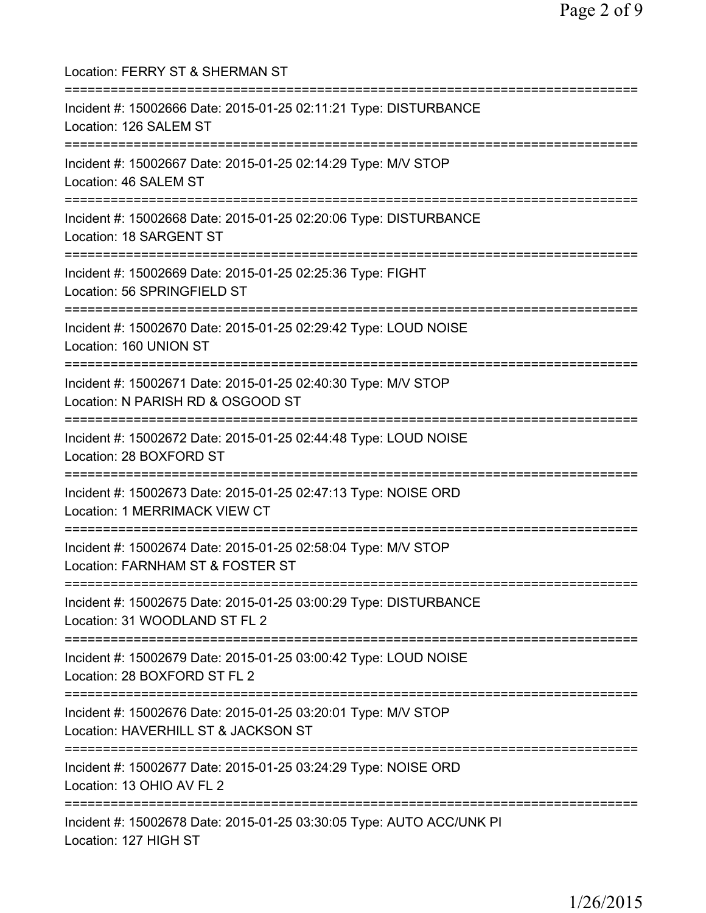Location: FERRY ST & SHERMAN ST =========================================================================== Incident #: 15002666 Date: 2015-01-25 02:11:21 Type: DISTURBANCE Location: 126 SALEM ST =========================================================================== Incident #: 15002667 Date: 2015-01-25 02:14:29 Type: M/V STOP Location: 46 SALEM ST =========================================================================== Incident #: 15002668 Date: 2015-01-25 02:20:06 Type: DISTURBANCE Location: 18 SARGENT ST =========================================================================== Incident #: 15002669 Date: 2015-01-25 02:25:36 Type: FIGHT Location: 56 SPRINGFIELD ST =========================================================================== Incident #: 15002670 Date: 2015-01-25 02:29:42 Type: LOUD NOISE Location: 160 UNION ST =========================================================================== Incident #: 15002671 Date: 2015-01-25 02:40:30 Type: M/V STOP Location: N PARISH RD & OSGOOD ST =========================================================================== Incident #: 15002672 Date: 2015-01-25 02:44:48 Type: LOUD NOISE Location: 28 BOXFORD ST =========================================================================== Incident #: 15002673 Date: 2015-01-25 02:47:13 Type: NOISE ORD Location: 1 MERRIMACK VIEW CT =========================================================================== Incident #: 15002674 Date: 2015-01-25 02:58:04 Type: M/V STOP Location: FARNHAM ST & FOSTER ST =========================================================================== Incident #: 15002675 Date: 2015-01-25 03:00:29 Type: DISTURBANCE Location: 31 WOODLAND ST FL 2 =========================================================================== Incident #: 15002679 Date: 2015-01-25 03:00:42 Type: LOUD NOISE Location: 28 BOXFORD ST FL 2 =========================================================================== Incident #: 15002676 Date: 2015-01-25 03:20:01 Type: M/V STOP Location: HAVERHILL ST & JACKSON ST =========================================================================== Incident #: 15002677 Date: 2015-01-25 03:24:29 Type: NOISE ORD Location: 13 OHIO AV FL 2 =========================================================================== Incident #: 15002678 Date: 2015-01-25 03:30:05 Type: AUTO ACC/UNK PI Location: 127 HIGH ST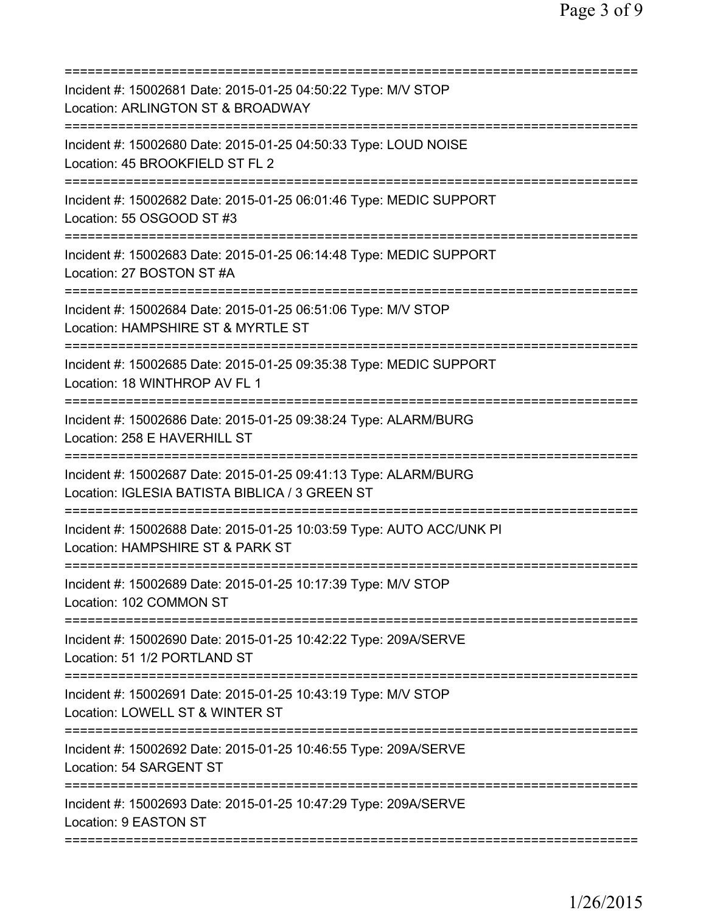| Incident #: 15002681 Date: 2015-01-25 04:50:22 Type: M/V STOP<br>Location: ARLINGTON ST & BROADWAY<br>==============================<br>============================      |
|---------------------------------------------------------------------------------------------------------------------------------------------------------------------------|
| Incident #: 15002680 Date: 2015-01-25 04:50:33 Type: LOUD NOISE<br>Location: 45 BROOKFIELD ST FL 2<br>=====================================<br>========================== |
| Incident #: 15002682 Date: 2015-01-25 06:01:46 Type: MEDIC SUPPORT<br>Location: 55 OSGOOD ST #3                                                                           |
| Incident #: 15002683 Date: 2015-01-25 06:14:48 Type: MEDIC SUPPORT<br>Location: 27 BOSTON ST #A                                                                           |
| Incident #: 15002684 Date: 2015-01-25 06:51:06 Type: M/V STOP<br>Location: HAMPSHIRE ST & MYRTLE ST                                                                       |
| ======================<br>Incident #: 15002685 Date: 2015-01-25 09:35:38 Type: MEDIC SUPPORT<br>Location: 18 WINTHROP AV FL 1                                             |
| Incident #: 15002686 Date: 2015-01-25 09:38:24 Type: ALARM/BURG<br>Location: 258 E HAVERHILL ST                                                                           |
| Incident #: 15002687 Date: 2015-01-25 09:41:13 Type: ALARM/BURG<br>Location: IGLESIA BATISTA BIBLICA / 3 GREEN ST<br>====================================                 |
| Incident #: 15002688 Date: 2015-01-25 10:03:59 Type: AUTO ACC/UNK PI<br>Location: HAMPSHIRE ST & PARK ST                                                                  |
| Incident #: 15002689 Date: 2015-01-25 10:17:39 Type: M/V STOP<br>Location: 102 COMMON ST                                                                                  |
| ==================================<br>=====================<br>Incident #: 15002690 Date: 2015-01-25 10:42:22 Type: 209A/SERVE<br>Location: 51 1/2 PORTLAND ST            |
| Incident #: 15002691 Date: 2015-01-25 10:43:19 Type: M/V STOP<br>Location: LOWELL ST & WINTER ST                                                                          |
| Incident #: 15002692 Date: 2015-01-25 10:46:55 Type: 209A/SERVE<br>Location: 54 SARGENT ST                                                                                |
| Incident #: 15002693 Date: 2015-01-25 10:47:29 Type: 209A/SERVE<br>Location: 9 EASTON ST                                                                                  |
|                                                                                                                                                                           |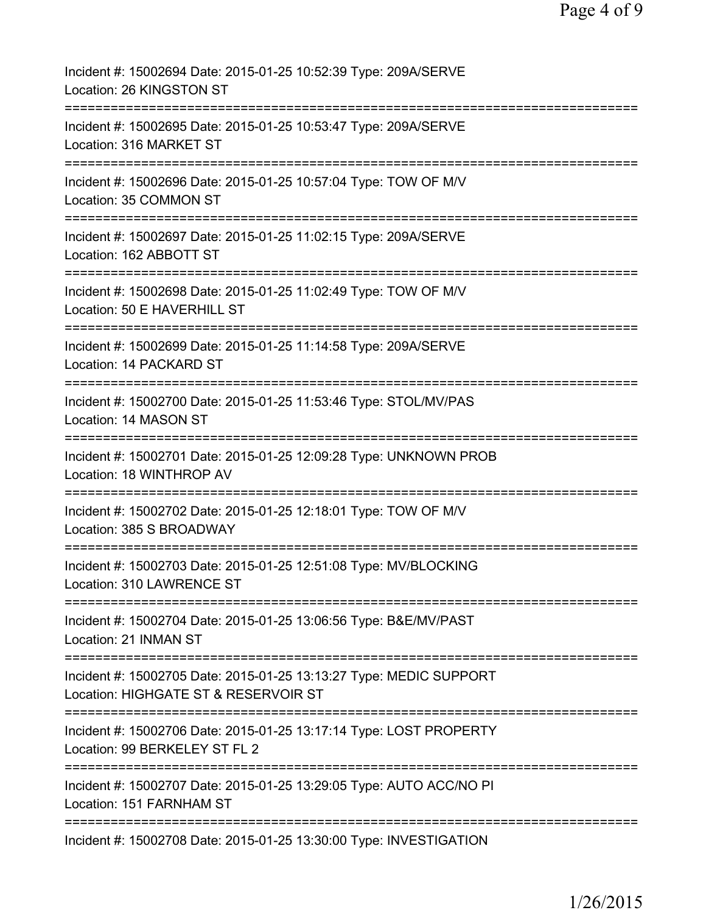| Incident #: 15002694 Date: 2015-01-25 10:52:39 Type: 209A/SERVE<br>Location: 26 KINGSTON ST                                             |
|-----------------------------------------------------------------------------------------------------------------------------------------|
| Incident #: 15002695 Date: 2015-01-25 10:53:47 Type: 209A/SERVE<br>Location: 316 MARKET ST                                              |
| Incident #: 15002696 Date: 2015-01-25 10:57:04 Type: TOW OF M/V<br>Location: 35 COMMON ST                                               |
| Incident #: 15002697 Date: 2015-01-25 11:02:15 Type: 209A/SERVE<br>Location: 162 ABBOTT ST                                              |
| Incident #: 15002698 Date: 2015-01-25 11:02:49 Type: TOW OF M/V<br>Location: 50 E HAVERHILL ST                                          |
| Incident #: 15002699 Date: 2015-01-25 11:14:58 Type: 209A/SERVE<br>Location: 14 PACKARD ST                                              |
| Incident #: 15002700 Date: 2015-01-25 11:53:46 Type: STOL/MV/PAS<br>Location: 14 MASON ST                                               |
| Incident #: 15002701 Date: 2015-01-25 12:09:28 Type: UNKNOWN PROB<br>Location: 18 WINTHROP AV                                           |
| Incident #: 15002702 Date: 2015-01-25 12:18:01 Type: TOW OF M/V<br>Location: 385 S BROADWAY                                             |
| Incident #: 15002703 Date: 2015-01-25 12:51:08 Type: MV/BLOCKING<br>Location: 310 LAWRENCE ST                                           |
| Incident #: 15002704 Date: 2015-01-25 13:06:56 Type: B&E/MV/PAST<br>Location: 21 INMAN ST                                               |
| Incident #: 15002705 Date: 2015-01-25 13:13:27 Type: MEDIC SUPPORT<br>Location: HIGHGATE ST & RESERVOIR ST                              |
| ================================<br>Incident #: 15002706 Date: 2015-01-25 13:17:14 Type: LOST PROPERTY<br>Location: 99 BERKELEY ST FL 2 |
| Incident #: 15002707 Date: 2015-01-25 13:29:05 Type: AUTO ACC/NO PI<br>Location: 151 FARNHAM ST                                         |
| Incident #: 15002708 Date: 2015-01-25 13:30:00 Type: INVESTIGATION                                                                      |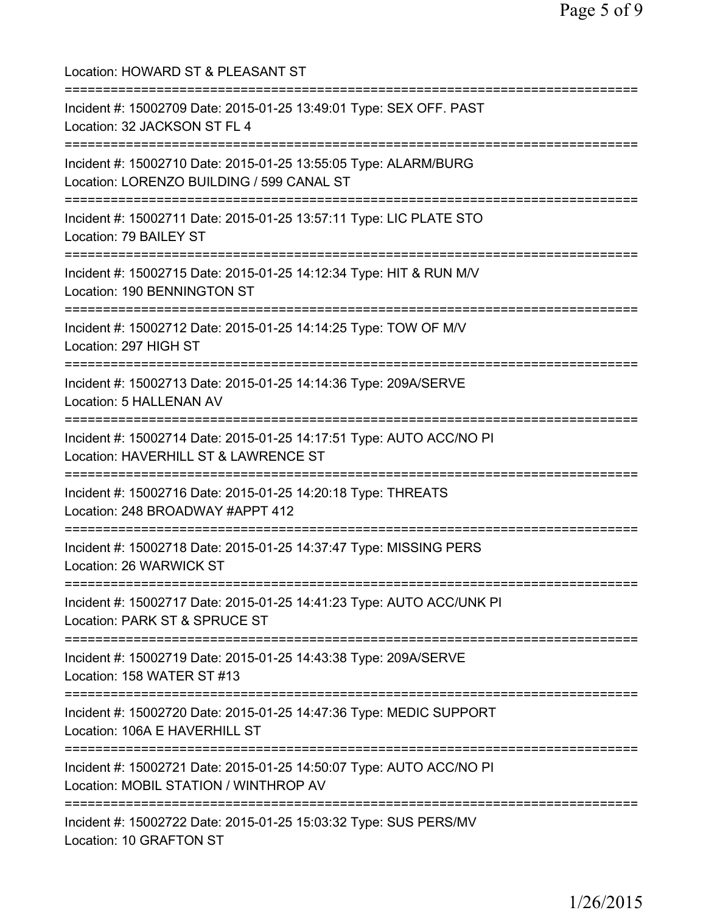| Location: HOWARD ST & PLEASANT ST                                                                                                                                   |
|---------------------------------------------------------------------------------------------------------------------------------------------------------------------|
| Incident #: 15002709 Date: 2015-01-25 13:49:01 Type: SEX OFF. PAST<br>Location: 32 JACKSON ST FL 4                                                                  |
| Incident #: 15002710 Date: 2015-01-25 13:55:05 Type: ALARM/BURG<br>Location: LORENZO BUILDING / 599 CANAL ST                                                        |
| Incident #: 15002711 Date: 2015-01-25 13:57:11 Type: LIC PLATE STO<br>Location: 79 BAILEY ST                                                                        |
| Incident #: 15002715 Date: 2015-01-25 14:12:34 Type: HIT & RUN M/V<br>Location: 190 BENNINGTON ST                                                                   |
| Incident #: 15002712 Date: 2015-01-25 14:14:25 Type: TOW OF M/V<br>Location: 297 HIGH ST                                                                            |
| :=============================<br>Incident #: 15002713 Date: 2015-01-25 14:14:36 Type: 209A/SERVE<br>Location: 5 HALLENAN AV<br>:================================== |
| Incident #: 15002714 Date: 2015-01-25 14:17:51 Type: AUTO ACC/NO PI<br>Location: HAVERHILL ST & LAWRENCE ST<br>:=========================                           |
| Incident #: 15002716 Date: 2015-01-25 14:20:18 Type: THREATS<br>Location: 248 BROADWAY #APPT 412                                                                    |
| Incident #: 15002718 Date: 2015-01-25 14:37:47 Type: MISSING PERS<br>Location: 26 WARWICK ST                                                                        |
| Incident #: 15002717 Date: 2015-01-25 14:41:23 Type: AUTO ACC/UNK PI<br>Location: PARK ST & SPRUCE ST                                                               |
| Incident #: 15002719 Date: 2015-01-25 14:43:38 Type: 209A/SERVE<br>Location: 158 WATER ST #13                                                                       |
| Incident #: 15002720 Date: 2015-01-25 14:47:36 Type: MEDIC SUPPORT<br>Location: 106A E HAVERHILL ST                                                                 |
| Incident #: 15002721 Date: 2015-01-25 14:50:07 Type: AUTO ACC/NO PI<br>Location: MOBIL STATION / WINTHROP AV                                                        |
| Incident #: 15002722 Date: 2015-01-25 15:03:32 Type: SUS PERS/MV<br>Location: 10 GRAFTON ST                                                                         |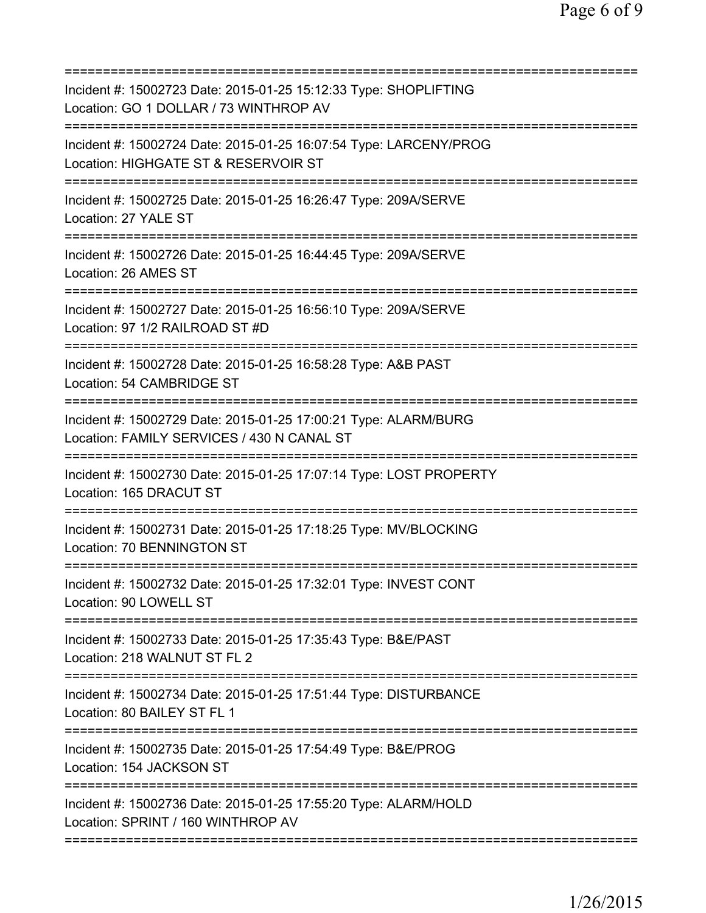| Incident #: 15002723 Date: 2015-01-25 15:12:33 Type: SHOPLIFTING<br>Location: GO 1 DOLLAR / 73 WINTHROP AV<br>==================  |
|-----------------------------------------------------------------------------------------------------------------------------------|
| Incident #: 15002724 Date: 2015-01-25 16:07:54 Type: LARCENY/PROG<br>Location: HIGHGATE ST & RESERVOIR ST                         |
| Incident #: 15002725 Date: 2015-01-25 16:26:47 Type: 209A/SERVE<br>Location: 27 YALE ST                                           |
| Incident #: 15002726 Date: 2015-01-25 16:44:45 Type: 209A/SERVE<br>Location: 26 AMES ST                                           |
| Incident #: 15002727 Date: 2015-01-25 16:56:10 Type: 209A/SERVE<br>Location: 97 1/2 RAILROAD ST #D                                |
| Incident #: 15002728 Date: 2015-01-25 16:58:28 Type: A&B PAST<br>Location: 54 CAMBRIDGE ST                                        |
| Incident #: 15002729 Date: 2015-01-25 17:00:21 Type: ALARM/BURG<br>Location: FAMILY SERVICES / 430 N CANAL ST                     |
| ===================<br>Incident #: 15002730 Date: 2015-01-25 17:07:14 Type: LOST PROPERTY<br>Location: 165 DRACUT ST              |
| Incident #: 15002731 Date: 2015-01-25 17:18:25 Type: MV/BLOCKING<br>Location: 70 BENNINGTON ST                                    |
| Incident #: 15002732 Date: 2015-01-25 17:32:01 Type: INVEST CONT<br>Location: 90 LOWELL ST                                        |
| :===============================<br>Incident #: 15002733 Date: 2015-01-25 17:35:43 Type: B&E/PAST<br>Location: 218 WALNUT ST FL 2 |
| Incident #: 15002734 Date: 2015-01-25 17:51:44 Type: DISTURBANCE<br>Location: 80 BAILEY ST FL 1                                   |
| Incident #: 15002735 Date: 2015-01-25 17:54:49 Type: B&E/PROG<br>Location: 154 JACKSON ST                                         |
| Incident #: 15002736 Date: 2015-01-25 17:55:20 Type: ALARM/HOLD<br>Location: SPRINT / 160 WINTHROP AV                             |
|                                                                                                                                   |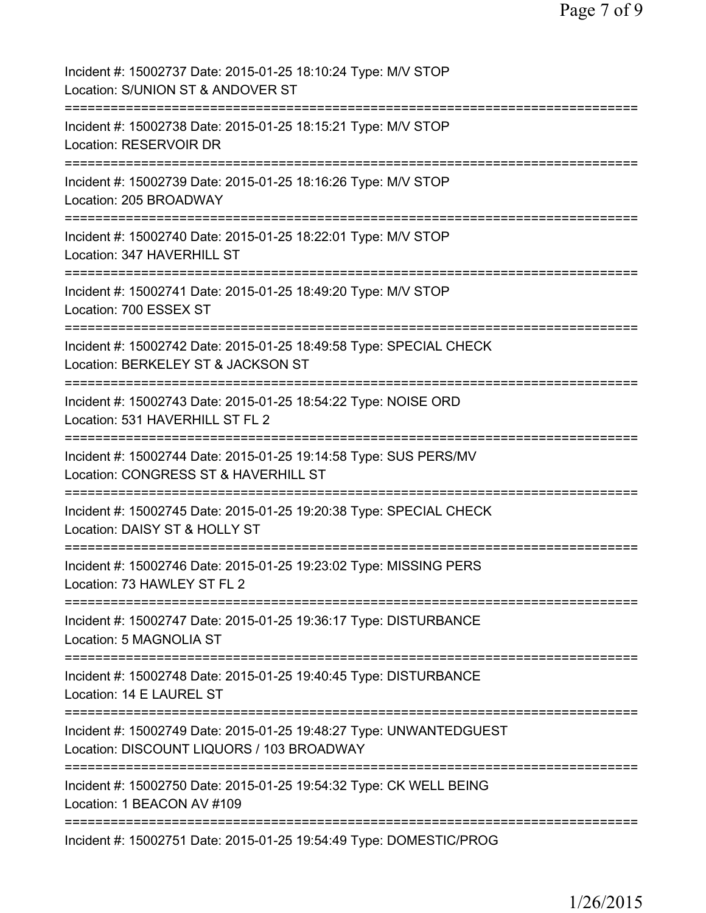| Incident #: 15002737 Date: 2015-01-25 18:10:24 Type: M/V STOP<br>Location: S/UNION ST & ANDOVER ST                                                                             |
|--------------------------------------------------------------------------------------------------------------------------------------------------------------------------------|
| Incident #: 15002738 Date: 2015-01-25 18:15:21 Type: M/V STOP<br>Location: RESERVOIR DR                                                                                        |
| Incident #: 15002739 Date: 2015-01-25 18:16:26 Type: M/V STOP<br>Location: 205 BROADWAY                                                                                        |
| Incident #: 15002740 Date: 2015-01-25 18:22:01 Type: M/V STOP<br>Location: 347 HAVERHILL ST                                                                                    |
| Incident #: 15002741 Date: 2015-01-25 18:49:20 Type: M/V STOP<br>Location: 700 ESSEX ST                                                                                        |
| Incident #: 15002742 Date: 2015-01-25 18:49:58 Type: SPECIAL CHECK<br>Location: BERKELEY ST & JACKSON ST                                                                       |
| Incident #: 15002743 Date: 2015-01-25 18:54:22 Type: NOISE ORD<br>Location: 531 HAVERHILL ST FL 2                                                                              |
| Incident #: 15002744 Date: 2015-01-25 19:14:58 Type: SUS PERS/MV<br>Location: CONGRESS ST & HAVERHILL ST                                                                       |
| Incident #: 15002745 Date: 2015-01-25 19:20:38 Type: SPECIAL CHECK<br>Location: DAISY ST & HOLLY ST                                                                            |
| Incident #: 15002746 Date: 2015-01-25 19:23:02 Type: MISSING PERS<br>Location: 73 HAWLEY ST FL 2                                                                               |
| Incident #: 15002747 Date: 2015-01-25 19:36:17 Type: DISTURBANCE<br>Location: 5 MAGNOLIA ST                                                                                    |
| Incident #: 15002748 Date: 2015-01-25 19:40:45 Type: DISTURBANCE<br>Location: 14 E LAUREL ST                                                                                   |
| Incident #: 15002749 Date: 2015-01-25 19:48:27 Type: UNWANTEDGUEST<br>Location: DISCOUNT LIQUORS / 103 BROADWAY                                                                |
| =====================================<br>=================================<br>Incident #: 15002750 Date: 2015-01-25 19:54:32 Type: CK WELL BEING<br>Location: 1 BEACON AV #109 |
| Incident #: 15002751 Date: 2015-01-25 19:54:49 Type: DOMESTIC/PROG                                                                                                             |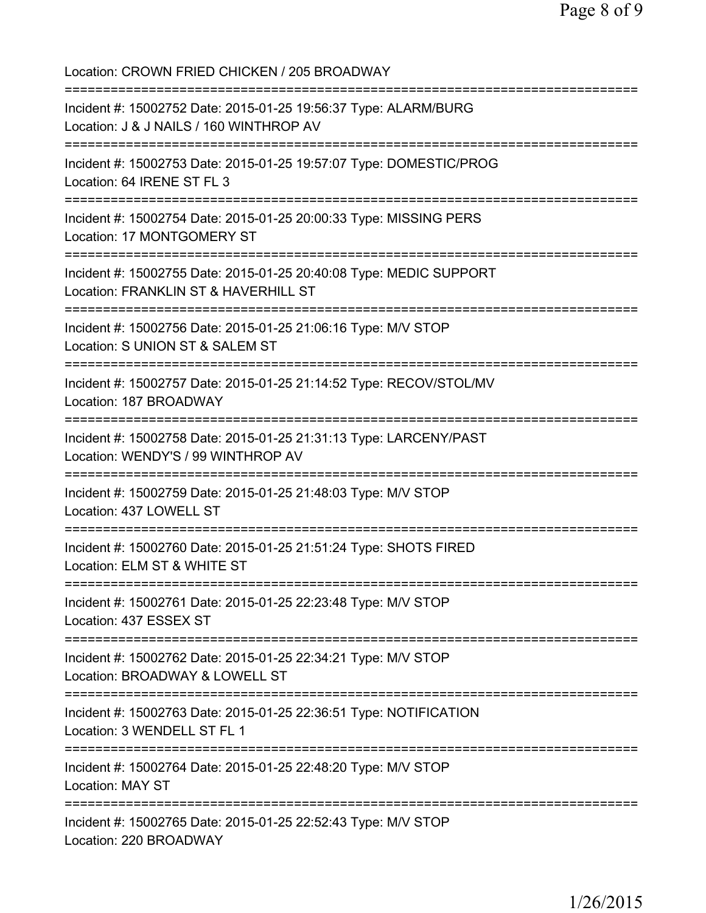Location: CROWN FRIED CHICKEN / 205 BROADWAY =========================================================================== Incident #: 15002752 Date: 2015-01-25 19:56:37 Type: ALARM/BURG Location: J & J NAILS / 160 WINTHROP AV =========================================================================== Incident #: 15002753 Date: 2015-01-25 19:57:07 Type: DOMESTIC/PROG Location: 64 IRENE ST FL 3 =========================================================================== Incident #: 15002754 Date: 2015-01-25 20:00:33 Type: MISSING PERS Location: 17 MONTGOMERY ST =========================================================================== Incident #: 15002755 Date: 2015-01-25 20:40:08 Type: MEDIC SUPPORT Location: FRANKLIN ST & HAVERHILL ST =========================================================================== Incident #: 15002756 Date: 2015-01-25 21:06:16 Type: M/V STOP Location: S UNION ST & SALEM ST =========================================================================== Incident #: 15002757 Date: 2015-01-25 21:14:52 Type: RECOV/STOL/MV Location: 187 BROADWAY =========================================================================== Incident #: 15002758 Date: 2015-01-25 21:31:13 Type: LARCENY/PAST Location: WENDY'S / 99 WINTHROP AV =========================================================================== Incident #: 15002759 Date: 2015-01-25 21:48:03 Type: M/V STOP Location: 437 LOWELL ST =========================================================================== Incident #: 15002760 Date: 2015-01-25 21:51:24 Type: SHOTS FIRED Location: ELM ST & WHITE ST =========================================================================== Incident #: 15002761 Date: 2015-01-25 22:23:48 Type: M/V STOP Location: 437 ESSEX ST =========================================================================== Incident #: 15002762 Date: 2015-01-25 22:34:21 Type: M/V STOP Location: BROADWAY & LOWELL ST =========================================================================== Incident #: 15002763 Date: 2015-01-25 22:36:51 Type: NOTIFICATION Location: 3 WENDELL ST FL 1 =========================================================================== Incident #: 15002764 Date: 2015-01-25 22:48:20 Type: M/V STOP Location: MAY ST =========================================================================== Incident #: 15002765 Date: 2015-01-25 22:52:43 Type: M/V STOP Location: 220 BROADWAY